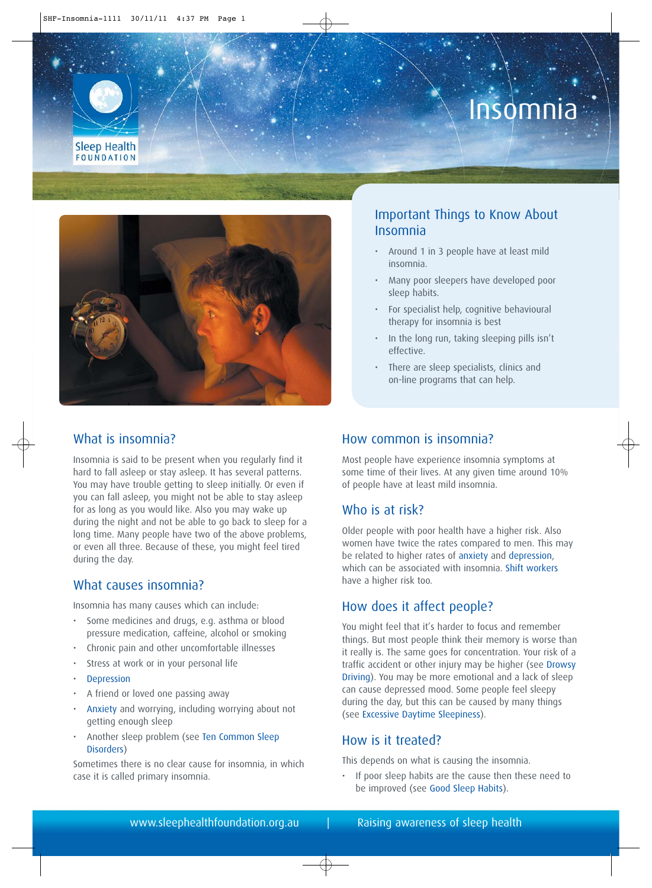# Insomnia





# What is insomnia?

Insomnia is said to be present when you regularly find it hard to fall asleep or stay asleep. It has several patterns. You may have trouble getting to sleep initially. Or even if you can fall asleep, you might not be able to stay asleep for as long as you would like. Also you may wake up during the night and not be able to go back to sleep for a long time. Many people have two of the above problems, or even all three. Because of these, you might feel tired during the day.

#### What causes insomnia?

Insomnia has many causes which can include:

- Some medicines and drugs, e.g. asthma or blood pressure medication, caffeine, alcohol or smoking
- Chronic pain and other uncomfortable illnesses
- Stress at work or in your personal life
- **[Depression](http://sleephealthfoundation.org.au/pdfs/Depression-and-Sleep.pdf)**
- A friend or loved one passing away
- [Anxiety](http://sleephealthfoundation.org.au/pdfs/Anxiety%20and%20Sleep.pdf) and worrying, including worrying about not getting enough sleep
- Another sleep problem (see [Ten Common Sleep](http://sleephealthfoundation.org.au/pdfs/facts/Common%20Sleep%20Disorders.pdf) [Disorders\)](http://sleephealthfoundation.org.au/pdfs/facts/Common%20Sleep%20Disorders.pdf)

Sometimes there is no clear cause for insomnia, in which case it is called primary insomnia.

# Important Things to Know About Insomnia

- Around 1 in 3 people have at least mild insomnia.
- Many poor sleepers have developed poor sleep habits.
- For specialist help, cognitive behavioural therapy for insomnia is best
- In the long run, taking sleeping pills isn't effective.
- There are sleep specialists, clinics and on-line programs that can help.

#### How common is insomnia?

Most people have experience insomnia symptoms at some time of their lives. At any given time around 10% of people have at least mild insomnia.

#### Who is at risk?

Older people with poor health have a higher risk. Also women have twice the rates compared to men. This may be related to higher rates o[f anxiety](http://sleephealthfoundation.org.au/pdfs/Anxiety%20and%20Sleep.pdf) an[d depression,](http://sleephealthfoundation.org.au/pdfs/Depression-and-Sleep.pdf) which can be associated with insomnia. [Shift workers](http://sleephealthfoundation.org.au/pdfs/Shift%20Work.pdf) have a higher risk too.

### How does it affect people?

You might feel that it's harder to focus and remember things. But most people think their memory is worse than it really is. The same goes for concentration. Your risk of a traffic accident or other injury may be higher (se[e Drowsy](http://sleephealthfoundation.org.au/pdfs/Drowsy%20Driving.pdf) [Driving\).](http://sleephealthfoundation.org.au/pdfs/Drowsy%20Driving.pdf) You may be more emotional and a lack of sleep can cause depressed mood. Some people feel sleepy during the day, but this can be caused by many things (see [Excessive Daytime Sleepiness\)](http://sleephealthfoundation.org.au/pdfs/excessive-daytime-sleepiness.pdf).

#### How is it treated?

This depends on what is causing the insomnia.

• If poor sleep habits are the cause then these need to be improved (se[e Good Sleep Habits\).](http://sleephealthfoundation.org.au/pdfs/Good%20Sleep%20Habits.pdf)